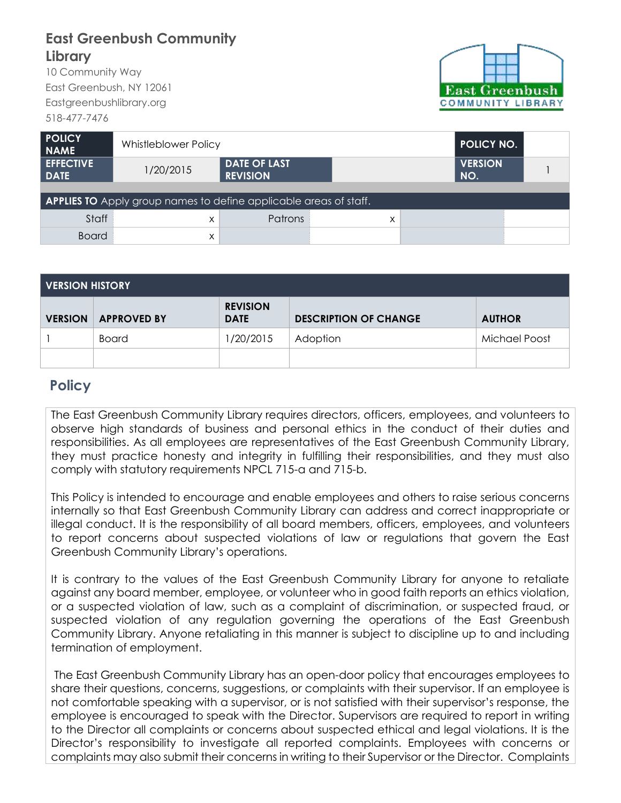## **East Greenbush Community Library**

10 Community Way East Greenbush, NY 12061 Eastgreenbushlibrary.org 518-477-7476



| <b>POLICY</b><br><b>NAME</b>                                             | <b>Whistleblower Policy</b> |                                        | <b>POLICY NO.</b> |                       |  |  |  |  |  |  |
|--------------------------------------------------------------------------|-----------------------------|----------------------------------------|-------------------|-----------------------|--|--|--|--|--|--|
| <b>EFFECTIVE</b><br><b>DATE</b>                                          | 1/20/2015                   | <b>DATE OF LAST</b><br><b>REVISION</b> |                   | <b>VERSION</b><br>NO. |  |  |  |  |  |  |
|                                                                          |                             |                                        |                   |                       |  |  |  |  |  |  |
| <b>APPLIES TO</b> Apply group names to define applicable areas of staff. |                             |                                        |                   |                       |  |  |  |  |  |  |
| Staff                                                                    | x                           | Patrons                                | X                 |                       |  |  |  |  |  |  |
| <b>Board</b>                                                             | X                           |                                        |                   |                       |  |  |  |  |  |  |

| <b>VERSION HISTORY</b> |                    |                                |                              |               |  |  |  |  |
|------------------------|--------------------|--------------------------------|------------------------------|---------------|--|--|--|--|
| <b>VERSION</b>         | <b>APPROVED BY</b> | <b>REVISION</b><br><b>DATE</b> | <b>DESCRIPTION OF CHANGE</b> | <b>AUTHOR</b> |  |  |  |  |
|                        | Board              | 1/20/2015                      | Adoption                     | Michael Poost |  |  |  |  |
|                        |                    |                                |                              |               |  |  |  |  |

## **Policy**

The East Greenbush Community Library requires directors, officers, employees, and volunteers to observe high standards of business and personal ethics in the conduct of their duties and responsibilities. As all employees are representatives of the East Greenbush Community Library, they must practice honesty and integrity in fulfilling their responsibilities, and they must also comply with statutory requirements NPCL 715-a and 715-b.

This Policy is intended to encourage and enable employees and others to raise serious concerns internally so that East Greenbush Community Library can address and correct inappropriate or illegal conduct. It is the responsibility of all board members, officers, employees, and volunteers to report concerns about suspected violations of law or regulations that govern the East Greenbush Community Library's operations.

It is contrary to the values of the East Greenbush Community Library for anyone to retaliate against any board member, employee, or volunteer who in good faith reports an ethics violation, or a suspected violation of law, such as a complaint of discrimination, or suspected fraud, or suspected violation of any regulation governing the operations of the East Greenbush Community Library. Anyone retaliating in this manner is subject to discipline up to and including termination of employment.

The East Greenbush Community Library has an open-door policy that encourages employees to share their questions, concerns, suggestions, or complaints with their supervisor. If an employee is not comfortable speaking with a supervisor, or is not satisfied with their supervisor's response, the employee is encouraged to speak with the Director. Supervisors are required to report in writing to the Director all complaints or concerns about suspected ethical and legal violations. It is the Director's responsibility to investigate all reported complaints. Employees with concerns or complaints may also submit their concerns in writing to their Supervisor or the Director. Complaints